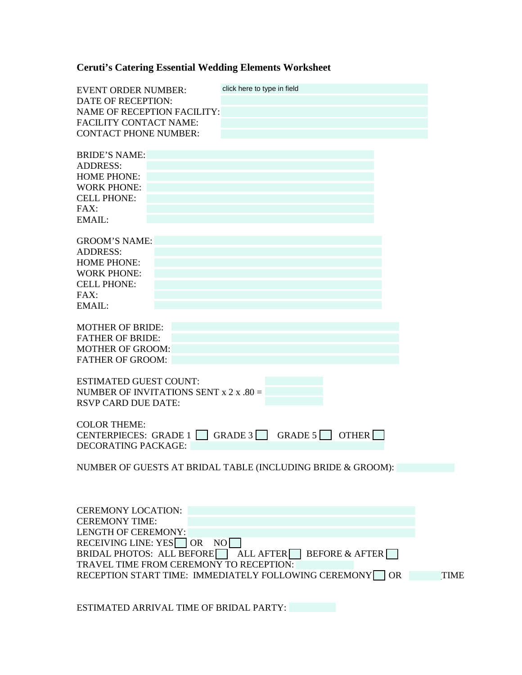## **Ceruti's Catering Essential Wedding Elements Worksheet**

| <b>EVENT ORDER NUMBER:</b><br><b>DATE OF RECEPTION:</b><br><b>NAME OF RECEPTION FACILITY:</b><br><b>FACILITY CONTACT NAME:</b><br><b>CONTACT PHONE NUMBER:</b>                                                                             | click here to type in field                                                                                                                                     |             |
|--------------------------------------------------------------------------------------------------------------------------------------------------------------------------------------------------------------------------------------------|-----------------------------------------------------------------------------------------------------------------------------------------------------------------|-------------|
| <b>BRIDE'S NAME:</b><br><b>ADDRESS:</b><br><b>HOME PHONE:</b><br><b>WORK PHONE:</b><br><b>CELL PHONE:</b><br>FAX:<br>EMAIL:                                                                                                                |                                                                                                                                                                 |             |
| <b>GROOM'S NAME:</b><br><b>ADDRESS:</b><br><b>HOME PHONE:</b><br><b>WORK PHONE:</b><br><b>CELL PHONE:</b><br>FAX:<br>EMAIL:                                                                                                                |                                                                                                                                                                 |             |
| <b>MOTHER OF BRIDE:</b><br><b>FATHER OF BRIDE:</b><br><b>MOTHER OF GROOM:</b><br><b>FATHER OF GROOM:</b><br><b>ESTIMATED GUEST COUNT:</b><br>NUMBER OF INVITATIONS SENT $x 2 x .80 =$<br><b>RSVP CARD DUE DATE:</b><br><b>COLOR THEME:</b> |                                                                                                                                                                 |             |
| CENTERPIECES: GRADE 1  <br>DECORATING PACKAGE:                                                                                                                                                                                             | GRADE $3$ GRADE $5$ OTHER<br>NUMBER OF GUESTS AT BRIDAL TABLE (INCLUDING BRIDE & GROOM):                                                                        |             |
| <b>CEREMONY LOCATION:</b><br><b>CEREMONY TIME:</b><br><b>LENGTH OF CEREMONY:</b><br>RECEIVING LINE: YES OR<br>BRIDAL PHOTOS: ALL BEFORE                                                                                                    | NO <sub>1</sub><br>ALL AFTER<br><b>BEFORE &amp; AFTER</b><br>TRAVEL TIME FROM CEREMONY TO RECEPTION:<br>RECEPTION START TIME: IMMEDIATELY FOLLOWING CEREMONY OR | <b>TIME</b> |

ESTIMATED ARRIVAL TIME OF BRIDAL PARTY: